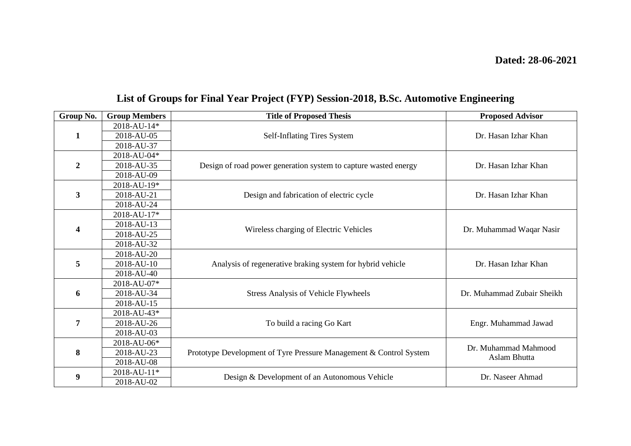| Group No.      | <b>Group Members</b> | <b>Title of Proposed Thesis</b>                                    | <b>Proposed Advisor</b>              |
|----------------|----------------------|--------------------------------------------------------------------|--------------------------------------|
| $\mathbf{1}$   | 2018-AU-14*          | Self-Inflating Tires System                                        | Dr. Hasan Izhar Khan                 |
|                | 2018-AU-05           |                                                                    |                                      |
|                | 2018-AU-37           |                                                                    |                                      |
| $\overline{2}$ | 2018-AU-04*          | Design of road power generation system to capture wasted energy    | Dr. Hasan Izhar Khan                 |
|                | 2018-AU-35           |                                                                    |                                      |
|                | 2018-AU-09           |                                                                    |                                      |
| 3              | 2018-AU-19*          | Design and fabrication of electric cycle                           | Dr. Hasan Izhar Khan                 |
|                | 2018-AU-21           |                                                                    |                                      |
|                | 2018-AU-24           |                                                                    |                                      |
| 4              | 2018-AU-17*          | Wireless charging of Electric Vehicles                             | Dr. Muhammad Waqar Nasir             |
|                | 2018-AU-13           |                                                                    |                                      |
|                | 2018-AU-25           |                                                                    |                                      |
|                | 2018-AU-32           |                                                                    |                                      |
| 5              | 2018-AU-20           | Analysis of regenerative braking system for hybrid vehicle         | Dr. Hasan Izhar Khan                 |
|                | 2018-AU-10           |                                                                    |                                      |
|                | 2018-AU-40           |                                                                    |                                      |
| 6              | 2018-AU-07*          | <b>Stress Analysis of Vehicle Flywheels</b>                        | Dr. Muhammad Zubair Sheikh           |
|                | 2018-AU-34           |                                                                    |                                      |
|                | 2018-AU-15           |                                                                    |                                      |
| 7              | 2018-AU-43*          | To build a racing Go Kart                                          | Engr. Muhammad Jawad                 |
|                | 2018-AU-26           |                                                                    |                                      |
|                | 2018-AU-03           |                                                                    |                                      |
| 8              | 2018-AU-06*          | Prototype Development of Tyre Pressure Management & Control System | Dr. Muhammad Mahmood<br>Aslam Bhutta |
|                | 2018-AU-23           |                                                                    |                                      |
|                | 2018-AU-08           |                                                                    |                                      |
| 9              | 2018-AU-11*          | Design & Development of an Autonomous Vehicle                      | Dr. Naseer Ahmad                     |
|                | 2018-AU-02           |                                                                    |                                      |

## **List of Groups for Final Year Project (FYP) Session-2018, B.Sc. Automotive Engineering**